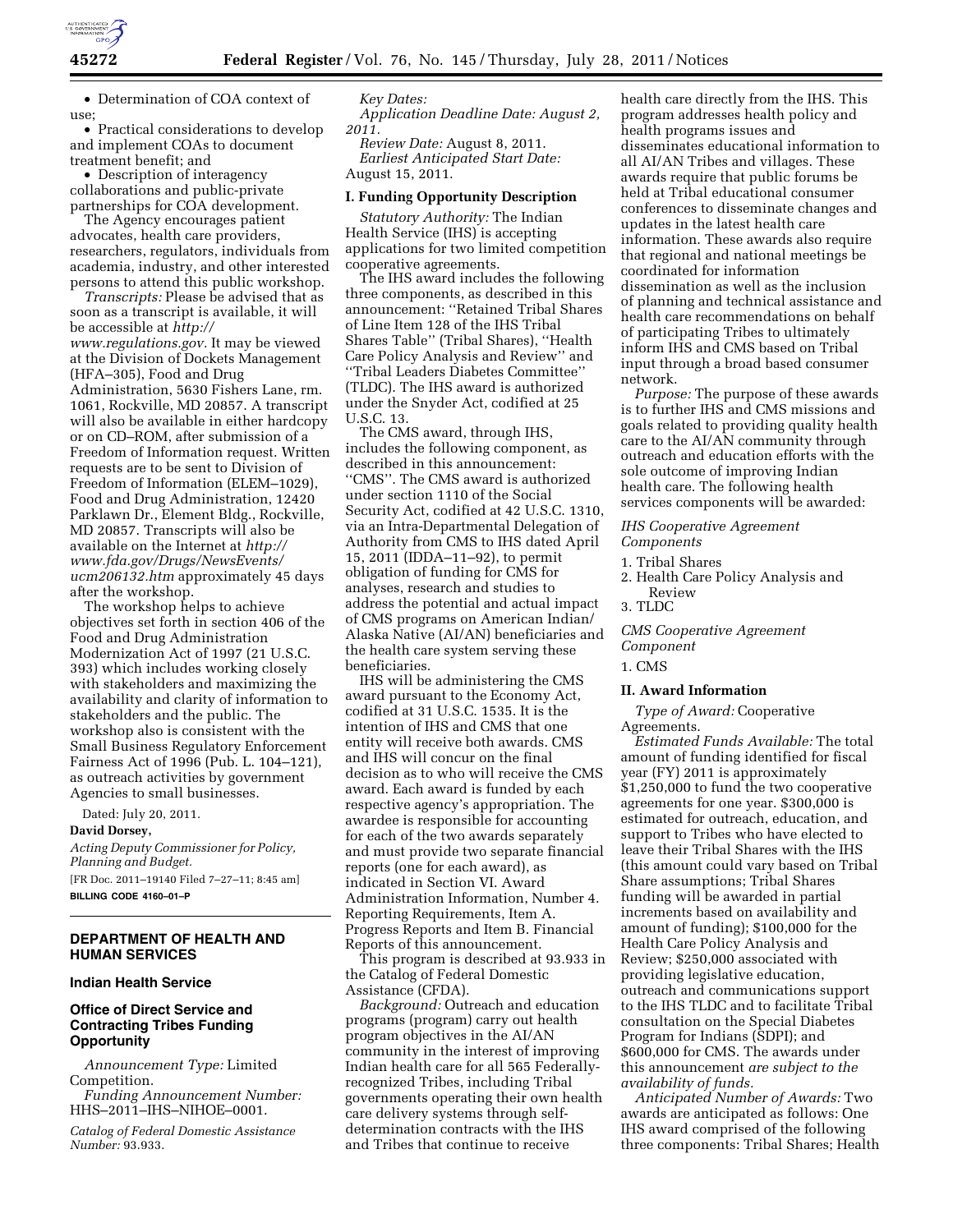

• Determination of COA context of use;

• Practical considerations to develop and implement COAs to document treatment benefit; and

• Description of interagency collaborations and public-private partnerships for COA development.

The Agency encourages patient advocates, health care providers, researchers, regulators, individuals from academia, industry, and other interested persons to attend this public workshop.

*Transcripts:* Please be advised that as soon as a transcript is available, it will be accessible at *[http://](http://www.regulations.gov) [www.regulations.gov.](http://www.regulations.gov)* It may be viewed at the Division of Dockets Management (HFA–305), Food and Drug Administration, 5630 Fishers Lane, rm. 1061, Rockville, MD 20857. A transcript will also be available in either hardcopy or on CD–ROM, after submission of a Freedom of Information request. Written requests are to be sent to Division of Freedom of Information (ELEM–1029), Food and Drug Administration, 12420 Parklawn Dr., Element Bldg., Rockville, MD 20857. Transcripts will also be available on the Internet at *[http://](http://www.fda.gov/Drugs/NewsEvents/ucm206132.htm) [www.fda.gov/Drugs/NewsEvents/](http://www.fda.gov/Drugs/NewsEvents/ucm206132.htm) [ucm206132.htm](http://www.fda.gov/Drugs/NewsEvents/ucm206132.htm)* approximately 45 days after the workshop.

The workshop helps to achieve objectives set forth in section 406 of the Food and Drug Administration Modernization Act of 1997 (21 U.S.C. 393) which includes working closely with stakeholders and maximizing the availability and clarity of information to stakeholders and the public. The workshop also is consistent with the Small Business Regulatory Enforcement Fairness Act of 1996 (Pub. L. 104–121), as outreach activities by government Agencies to small businesses.

Dated: July 20, 2011.

# **David Dorsey,**

*Acting Deputy Commissioner for Policy, Planning and Budget.*  [FR Doc. 2011–19140 Filed 7–27–11; 8:45 am] **BILLING CODE 4160–01–P** 

### **DEPARTMENT OF HEALTH AND HUMAN SERVICES**

# **Indian Health Service**

# **Office of Direct Service and Contracting Tribes Funding Opportunity**

*Announcement Type:* Limited Competition.

*Funding Announcement Number:*  HHS–2011–IHS–NIHOE–0001.

*Catalog of Federal Domestic Assistance Number:* 93.933.

*Key Dates:* 

*Application Deadline Date: August 2, 2011.* 

*Review Date:* August 8, 2011. *Earliest Anticipated Start Date:*  August 15, 2011.

# **I. Funding Opportunity Description**

*Statutory Authority:* The Indian Health Service (IHS) is accepting applications for two limited competition cooperative agreements.

The IHS award includes the following three components, as described in this announcement: ''Retained Tribal Shares of Line Item 128 of the IHS Tribal Shares Table'' (Tribal Shares), ''Health Care Policy Analysis and Review'' and ''Tribal Leaders Diabetes Committee'' (TLDC). The IHS award is authorized under the Snyder Act, codified at 25 U.S.C. 13.

The CMS award, through IHS, includes the following component, as described in this announcement: ''CMS''. The CMS award is authorized under section 1110 of the Social Security Act, codified at 42 U.S.C. 1310, via an Intra-Departmental Delegation of Authority from CMS to IHS dated April 15, 2011 (IDDA–11–92), to permit obligation of funding for CMS for analyses, research and studies to address the potential and actual impact of CMS programs on American Indian/ Alaska Native (AI/AN) beneficiaries and the health care system serving these beneficiaries.

IHS will be administering the CMS award pursuant to the Economy Act, codified at 31 U.S.C. 1535. It is the intention of IHS and CMS that one entity will receive both awards. CMS and IHS will concur on the final decision as to who will receive the CMS award. Each award is funded by each respective agency's appropriation. The awardee is responsible for accounting for each of the two awards separately and must provide two separate financial reports (one for each award), as indicated in Section VI. Award Administration Information, Number 4. Reporting Requirements, Item A. Progress Reports and Item B. Financial Reports of this announcement.

This program is described at 93.933 in the Catalog of Federal Domestic Assistance (CFDA).

*Background:* Outreach and education programs (program) carry out health program objectives in the AI/AN community in the interest of improving Indian health care for all 565 Federallyrecognized Tribes, including Tribal governments operating their own health care delivery systems through selfdetermination contracts with the IHS and Tribes that continue to receive

health care directly from the IHS. This program addresses health policy and health programs issues and disseminates educational information to all AI/AN Tribes and villages. These awards require that public forums be held at Tribal educational consumer conferences to disseminate changes and updates in the latest health care information. These awards also require that regional and national meetings be coordinated for information dissemination as well as the inclusion of planning and technical assistance and health care recommendations on behalf of participating Tribes to ultimately inform IHS and CMS based on Tribal input through a broad based consumer network.

*Purpose:* The purpose of these awards is to further IHS and CMS missions and goals related to providing quality health care to the AI/AN community through outreach and education efforts with the sole outcome of improving Indian health care. The following health services components will be awarded:

*IHS Cooperative Agreement Components* 

- 1. Tribal Shares
- 2. Health Care Policy Analysis and Review
- 3. TLDC

*CMS Cooperative Agreement Component* 

1. CMS

# **II. Award Information**

*Type of Award:* Cooperative

Agreements. *Estimated Funds Available:* The total

amount of funding identified for fiscal year (FY) 2011 is approximately \$1,250,000 to fund the two cooperative agreements for one year. \$300,000 is estimated for outreach, education, and support to Tribes who have elected to leave their Tribal Shares with the IHS (this amount could vary based on Tribal Share assumptions; Tribal Shares funding will be awarded in partial increments based on availability and amount of funding); \$100,000 for the Health Care Policy Analysis and Review; \$250,000 associated with providing legislative education, outreach and communications support to the IHS TLDC and to facilitate Tribal consultation on the Special Diabetes Program for Indians (SDPI); and \$600,000 for CMS. The awards under this announcement *are subject to the availability of funds.* 

*Anticipated Number of Awards:* Two awards are anticipated as follows: One IHS award comprised of the following three components: Tribal Shares; Health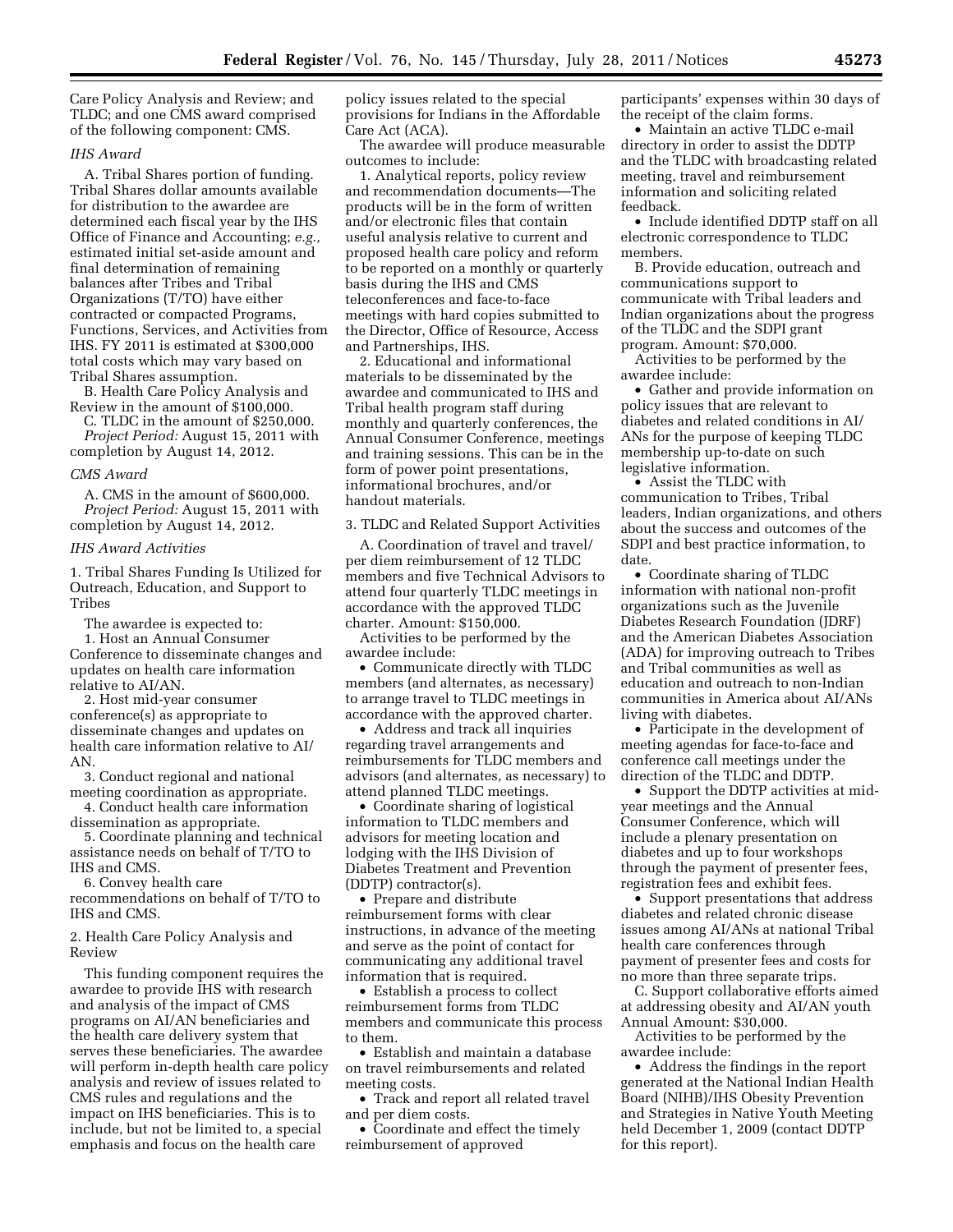Care Policy Analysis and Review; and TLDC; and one CMS award comprised of the following component: CMS.

#### *IHS Award*

A. Tribal Shares portion of funding. Tribal Shares dollar amounts available for distribution to the awardee are determined each fiscal year by the IHS Office of Finance and Accounting; *e.g.,*  estimated initial set-aside amount and final determination of remaining balances after Tribes and Tribal Organizations (T/TO) have either contracted or compacted Programs, Functions, Services, and Activities from IHS. FY 2011 is estimated at \$300,000 total costs which may vary based on Tribal Shares assumption.

B. Health Care Policy Analysis and Review in the amount of \$100,000.

C. TLDC in the amount of \$250,000. *Project Period:* August 15, 2011 with completion by August 14, 2012.

#### *CMS Award*

A. CMS in the amount of \$600,000. *Project Period:* August 15, 2011 with completion by August 14, 2012.

#### *IHS Award Activities*

1. Tribal Shares Funding Is Utilized for Outreach, Education, and Support to Tribes

The awardee is expected to:

1. Host an Annual Consumer Conference to disseminate changes and updates on health care information relative to AI/AN.

2. Host mid-year consumer conference(s) as appropriate to disseminate changes and updates on health care information relative to AI/ AN.

3. Conduct regional and national meeting coordination as appropriate.

4. Conduct health care information dissemination as appropriate.

5. Coordinate planning and technical assistance needs on behalf of T/TO to IHS and CMS.

6. Convey health care

recommendations on behalf of T/TO to IHS and CMS.

2. Health Care Policy Analysis and Review

This funding component requires the awardee to provide IHS with research and analysis of the impact of CMS programs on AI/AN beneficiaries and the health care delivery system that serves these beneficiaries. The awardee will perform in-depth health care policy analysis and review of issues related to CMS rules and regulations and the impact on IHS beneficiaries. This is to include, but not be limited to, a special emphasis and focus on the health care

policy issues related to the special provisions for Indians in the Affordable Care Act (ACA).

The awardee will produce measurable outcomes to include:

1. Analytical reports, policy review and recommendation documents—The products will be in the form of written and/or electronic files that contain useful analysis relative to current and proposed health care policy and reform to be reported on a monthly or quarterly basis during the IHS and CMS teleconferences and face-to-face meetings with hard copies submitted to the Director, Office of Resource, Access and Partnerships, IHS.

2. Educational and informational materials to be disseminated by the awardee and communicated to IHS and Tribal health program staff during monthly and quarterly conferences, the Annual Consumer Conference, meetings and training sessions. This can be in the form of power point presentations, informational brochures, and/or handout materials.

3. TLDC and Related Support Activities

A. Coordination of travel and travel/ per diem reimbursement of 12 TLDC members and five Technical Advisors to attend four quarterly TLDC meetings in accordance with the approved TLDC charter. Amount: \$150,000.

Activities to be performed by the awardee include:

• Communicate directly with TLDC members (and alternates, as necessary) to arrange travel to TLDC meetings in accordance with the approved charter.

• Address and track all inquiries regarding travel arrangements and reimbursements for TLDC members and advisors (and alternates, as necessary) to attend planned TLDC meetings.

• Coordinate sharing of logistical information to TLDC members and advisors for meeting location and lodging with the IHS Division of Diabetes Treatment and Prevention (DDTP) contractor(s).

• Prepare and distribute reimbursement forms with clear instructions, in advance of the meeting and serve as the point of contact for communicating any additional travel information that is required.

• Establish a process to collect reimbursement forms from TLDC members and communicate this process to them.

• Establish and maintain a database on travel reimbursements and related meeting costs.

• Track and report all related travel and per diem costs.

• Coordinate and effect the timely reimbursement of approved

participants' expenses within 30 days of the receipt of the claim forms.

• Maintain an active TLDC e-mail directory in order to assist the DDTP and the TLDC with broadcasting related meeting, travel and reimbursement information and soliciting related feedback.

• Include identified DDTP staff on all electronic correspondence to TLDC members.

B. Provide education, outreach and communications support to communicate with Tribal leaders and Indian organizations about the progress of the TLDC and the SDPI grant program. Amount: \$70,000.

Activities to be performed by the awardee include:

• Gather and provide information on policy issues that are relevant to diabetes and related conditions in AI/ ANs for the purpose of keeping TLDC membership up-to-date on such legislative information.

• Assist the TLDC with communication to Tribes, Tribal leaders, Indian organizations, and others about the success and outcomes of the SDPI and best practice information, to date.

• Coordinate sharing of TLDC information with national non-profit organizations such as the Juvenile Diabetes Research Foundation (JDRF) and the American Diabetes Association (ADA) for improving outreach to Tribes and Tribal communities as well as education and outreach to non-Indian communities in America about AI/ANs living with diabetes.

• Participate in the development of meeting agendas for face-to-face and conference call meetings under the direction of the TLDC and DDTP.

• Support the DDTP activities at midyear meetings and the Annual Consumer Conference, which will include a plenary presentation on diabetes and up to four workshops through the payment of presenter fees, registration fees and exhibit fees.

• Support presentations that address diabetes and related chronic disease issues among AI/ANs at national Tribal health care conferences through payment of presenter fees and costs for no more than three separate trips.

C. Support collaborative efforts aimed at addressing obesity and AI/AN youth Annual Amount: \$30,000.

Activities to be performed by the awardee include:

• Address the findings in the report generated at the National Indian Health Board (NIHB)/IHS Obesity Prevention and Strategies in Native Youth Meeting held December 1, 2009 (contact DDTP for this report).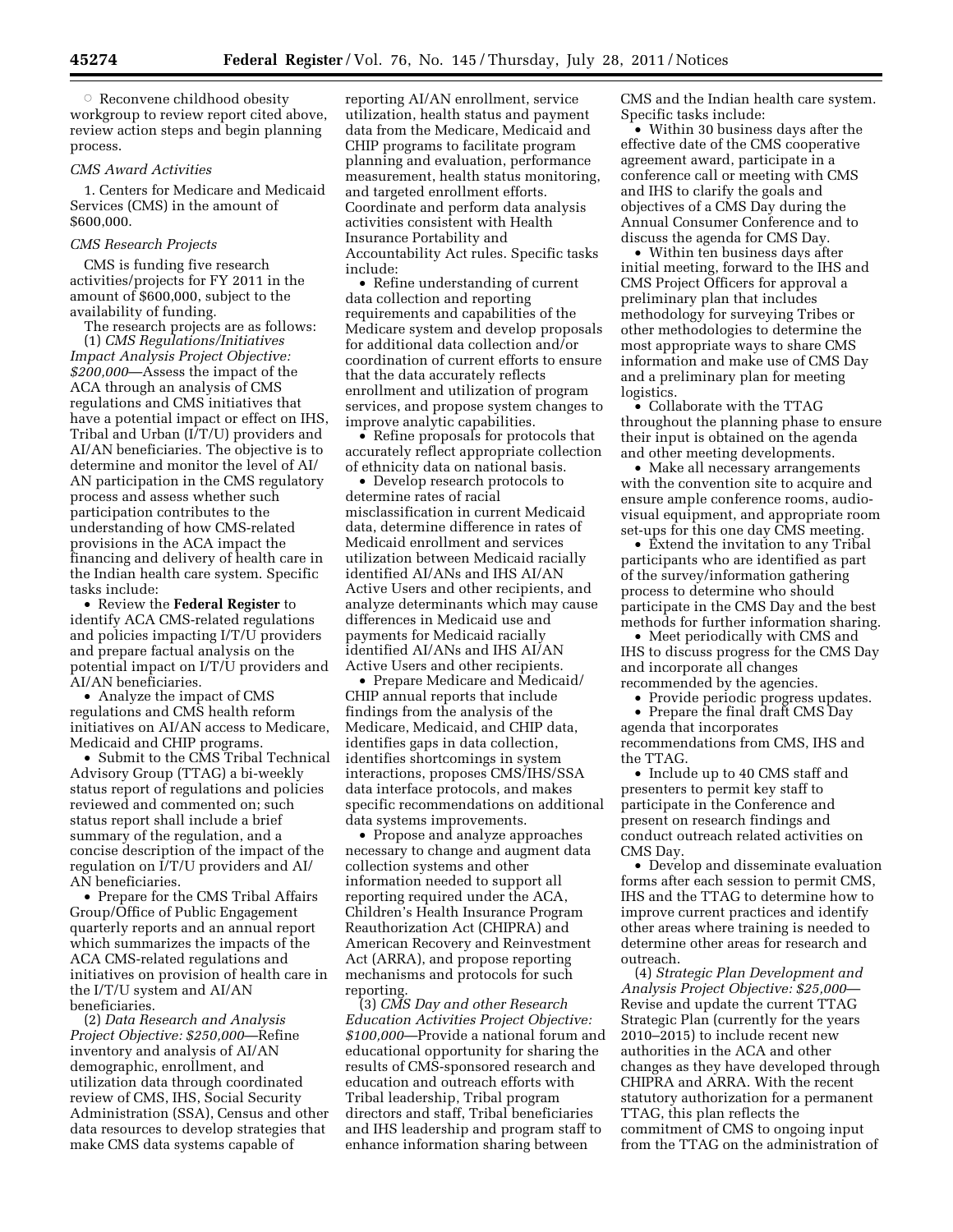**Reconvene childhood obesity** workgroup to review report cited above, review action steps and begin planning process.

## *CMS Award Activities*

1. Centers for Medicare and Medicaid Services (CMS) in the amount of \$600,000.

### *CMS Research Projects*

CMS is funding five research activities/projects for FY 2011 in the amount of \$600,000, subject to the availability of funding.

The research projects are as follows: (1) *CMS Regulations/Initiatives Impact Analysis Project Objective: \$200,000*—Assess the impact of the ACA through an analysis of CMS regulations and CMS initiatives that have a potential impact or effect on IHS, Tribal and Urban (I/T/U) providers and AI/AN beneficiaries. The objective is to determine and monitor the level of AI/ AN participation in the CMS regulatory process and assess whether such participation contributes to the understanding of how CMS-related provisions in the ACA impact the financing and delivery of health care in the Indian health care system. Specific tasks include:

• Review the **Federal Register** to identify ACA CMS-related regulations and policies impacting I/T/U providers and prepare factual analysis on the potential impact on I/T/U providers and AI/AN beneficiaries.

• Analyze the impact of CMS regulations and CMS health reform initiatives on AI/AN access to Medicare, Medicaid and CHIP programs.

• Submit to the CMS Tribal Technical Advisory Group (TTAG) a bi-weekly status report of regulations and policies reviewed and commented on; such status report shall include a brief summary of the regulation, and a concise description of the impact of the regulation on I/T/U providers and AI/ AN beneficiaries.

• Prepare for the CMS Tribal Affairs Group/Office of Public Engagement quarterly reports and an annual report which summarizes the impacts of the ACA CMS-related regulations and initiatives on provision of health care in the I/T/U system and AI/AN beneficiaries.

(2) *Data Research and Analysis Project Objective: \$250,000*—Refine inventory and analysis of AI/AN demographic, enrollment, and utilization data through coordinated review of CMS, IHS, Social Security Administration (SSA), Census and other data resources to develop strategies that make CMS data systems capable of

reporting AI/AN enrollment, service utilization, health status and payment data from the Medicare, Medicaid and CHIP programs to facilitate program planning and evaluation, performance measurement, health status monitoring, and targeted enrollment efforts. Coordinate and perform data analysis activities consistent with Health Insurance Portability and Accountability Act rules. Specific tasks include:

• Refine understanding of current data collection and reporting requirements and capabilities of the Medicare system and develop proposals for additional data collection and/or coordination of current efforts to ensure that the data accurately reflects enrollment and utilization of program services, and propose system changes to improve analytic capabilities.

• Refine proposals for protocols that accurately reflect appropriate collection of ethnicity data on national basis.

• Develop research protocols to determine rates of racial misclassification in current Medicaid data, determine difference in rates of Medicaid enrollment and services utilization between Medicaid racially identified AI/ANs and IHS AI/AN Active Users and other recipients, and analyze determinants which may cause differences in Medicaid use and payments for Medicaid racially identified AI/ANs and IHS AI/AN Active Users and other recipients.

• Prepare Medicare and Medicaid/ CHIP annual reports that include findings from the analysis of the Medicare, Medicaid, and CHIP data, identifies gaps in data collection, identifies shortcomings in system interactions, proposes CMS/IHS/SSA data interface protocols, and makes specific recommendations on additional data systems improvements.

• Propose and analyze approaches necessary to change and augment data collection systems and other information needed to support all reporting required under the ACA, Children's Health Insurance Program Reauthorization Act (CHIPRA) and American Recovery and Reinvestment Act (ARRA), and propose reporting mechanisms and protocols for such reporting.

(3) *CMS Day and other Research Education Activities Project Objective: \$100,000*—Provide a national forum and educational opportunity for sharing the results of CMS-sponsored research and education and outreach efforts with Tribal leadership, Tribal program directors and staff, Tribal beneficiaries and IHS leadership and program staff to enhance information sharing between

CMS and the Indian health care system. Specific tasks include:

• Within 30 business days after the effective date of the CMS cooperative agreement award, participate in a conference call or meeting with CMS and IHS to clarify the goals and objectives of a CMS Day during the Annual Consumer Conference and to discuss the agenda for CMS Day.

• Within ten business days after initial meeting, forward to the IHS and CMS Project Officers for approval a preliminary plan that includes methodology for surveying Tribes or other methodologies to determine the most appropriate ways to share CMS information and make use of CMS Day and a preliminary plan for meeting logistics.

• Collaborate with the TTAG throughout the planning phase to ensure their input is obtained on the agenda and other meeting developments.

• Make all necessary arrangements with the convention site to acquire and ensure ample conference rooms, audiovisual equipment, and appropriate room set-ups for this one day CMS meeting.

• Extend the invitation to any Tribal participants who are identified as part of the survey/information gathering process to determine who should participate in the CMS Day and the best methods for further information sharing.

• Meet periodically with CMS and IHS to discuss progress for the CMS Day and incorporate all changes

recommended by the agencies. • Provide periodic progress updates.

• Prepare the final draft CMS Day

agenda that incorporates recommendations from CMS, IHS and the TTAG.

• Include up to 40 CMS staff and presenters to permit key staff to participate in the Conference and present on research findings and conduct outreach related activities on CMS Day.

• Develop and disseminate evaluation forms after each session to permit CMS, IHS and the TTAG to determine how to improve current practices and identify other areas where training is needed to determine other areas for research and outreach.

(4) *Strategic Plan Development and Analysis Project Objective: \$25,000*— Revise and update the current TTAG Strategic Plan (currently for the years 2010–2015) to include recent new authorities in the ACA and other changes as they have developed through CHIPRA and ARRA. With the recent statutory authorization for a permanent TTAG, this plan reflects the commitment of CMS to ongoing input from the TTAG on the administration of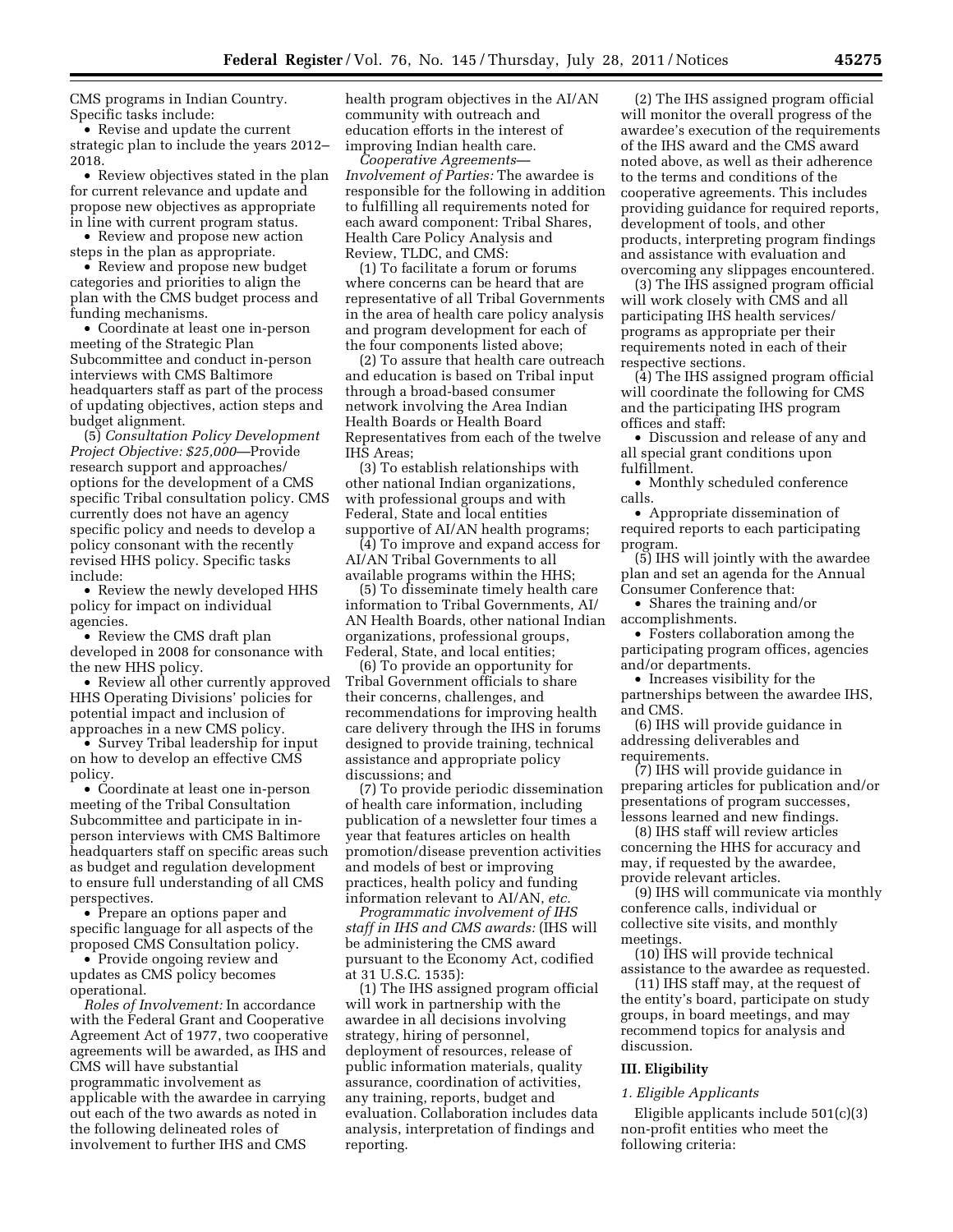CMS programs in Indian Country. Specific tasks include:

• Revise and update the current strategic plan to include the years 2012– 2018.

• Review objectives stated in the plan for current relevance and update and propose new objectives as appropriate in line with current program status.

• Review and propose new action steps in the plan as appropriate.

• Review and propose new budget categories and priorities to align the plan with the CMS budget process and funding mechanisms.

• Coordinate at least one in-person meeting of the Strategic Plan Subcommittee and conduct in-person interviews with CMS Baltimore headquarters staff as part of the process of updating objectives, action steps and budget alignment.

(5) *Consultation Policy Development Project Objective: \$25,000*—Provide research support and approaches/ options for the development of a CMS specific Tribal consultation policy. CMS currently does not have an agency specific policy and needs to develop a policy consonant with the recently revised HHS policy. Specific tasks include:

• Review the newly developed HHS policy for impact on individual agencies.

• Review the CMS draft plan developed in 2008 for consonance with the new HHS policy.

• Review all other currently approved HHS Operating Divisions' policies for potential impact and inclusion of approaches in a new CMS policy.

• Survey Tribal leadership for input on how to develop an effective CMS policy.

• Coordinate at least one in-person meeting of the Tribal Consultation Subcommittee and participate in inperson interviews with CMS Baltimore headquarters staff on specific areas such as budget and regulation development to ensure full understanding of all CMS perspectives.

• Prepare an options paper and specific language for all aspects of the proposed CMS Consultation policy.

• Provide ongoing review and updates as CMS policy becomes operational.

*Roles of Involvement:* In accordance with the Federal Grant and Cooperative Agreement Act of 1977, two cooperative agreements will be awarded, as IHS and CMS will have substantial programmatic involvement as applicable with the awardee in carrying out each of the two awards as noted in the following delineated roles of involvement to further IHS and CMS

health program objectives in the AI/AN community with outreach and education efforts in the interest of improving Indian health care.

*Cooperative Agreements— Involvement of Parties:* The awardee is responsible for the following in addition to fulfilling all requirements noted for each award component: Tribal Shares, Health Care Policy Analysis and Review, TLDC, and CMS:

(1) To facilitate a forum or forums where concerns can be heard that are representative of all Tribal Governments in the area of health care policy analysis and program development for each of the four components listed above;

(2) To assure that health care outreach and education is based on Tribal input through a broad-based consumer network involving the Area Indian Health Boards or Health Board Representatives from each of the twelve IHS Areas;

(3) To establish relationships with other national Indian organizations, with professional groups and with Federal, State and local entities supportive of AI/AN health programs;

(4) To improve and expand access for AI/AN Tribal Governments to all available programs within the HHS;

(5) To disseminate timely health care information to Tribal Governments, AI/ AN Health Boards, other national Indian organizations, professional groups, Federal, State, and local entities;

(6) To provide an opportunity for Tribal Government officials to share their concerns, challenges, and recommendations for improving health care delivery through the IHS in forums designed to provide training, technical assistance and appropriate policy discussions; and

(7) To provide periodic dissemination of health care information, including publication of a newsletter four times a year that features articles on health promotion/disease prevention activities and models of best or improving practices, health policy and funding information relevant to AI/AN, *etc.* 

*Programmatic involvement of IHS staff in IHS and CMS awards:* (IHS will be administering the CMS award pursuant to the Economy Act, codified at 31 U.S.C. 1535):

(1) The IHS assigned program official will work in partnership with the awardee in all decisions involving strategy, hiring of personnel, deployment of resources, release of public information materials, quality assurance, coordination of activities, any training, reports, budget and evaluation. Collaboration includes data analysis, interpretation of findings and reporting.

(2) The IHS assigned program official will monitor the overall progress of the awardee's execution of the requirements of the IHS award and the CMS award noted above, as well as their adherence to the terms and conditions of the cooperative agreements. This includes providing guidance for required reports, development of tools, and other products, interpreting program findings and assistance with evaluation and overcoming any slippages encountered.

(3) The IHS assigned program official will work closely with CMS and all participating IHS health services/ programs as appropriate per their requirements noted in each of their respective sections.

(4) The IHS assigned program official will coordinate the following for CMS and the participating IHS program offices and staff:

• Discussion and release of any and all special grant conditions upon fulfillment.

• Monthly scheduled conference calls.

• Appropriate dissemination of required reports to each participating program.

(5) IHS will jointly with the awardee plan and set an agenda for the Annual Consumer Conference that:

• Shares the training and/or accomplishments.

• Fosters collaboration among the participating program offices, agencies and/or departments.

• Increases visibility for the partnerships between the awardee IHS, and CMS.

(6) IHS will provide guidance in addressing deliverables and requirements.

(7) IHS will provide guidance in preparing articles for publication and/or presentations of program successes, lessons learned and new findings.

(8) IHS staff will review articles concerning the HHS for accuracy and may, if requested by the awardee, provide relevant articles.

(9) IHS will communicate via monthly conference calls, individual or collective site visits, and monthly meetings.

(10) IHS will provide technical assistance to the awardee as requested.

(11) IHS staff may, at the request of the entity's board, participate on study groups, in board meetings, and may recommend topics for analysis and discussion.

### **III. Eligibility**

#### *1. Eligible Applicants*

Eligible applicants include 501(c)(3) non-profit entities who meet the following criteria: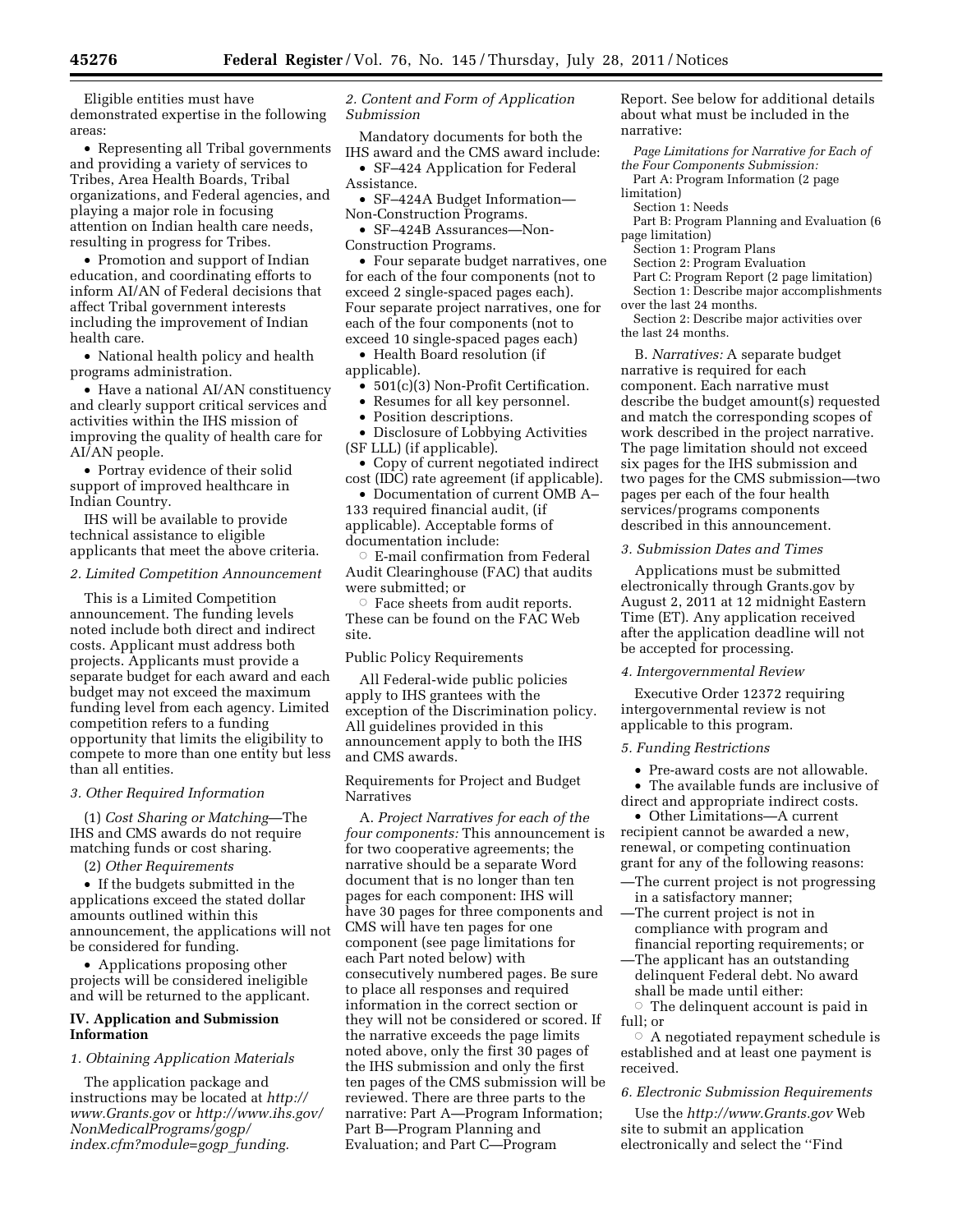Eligible entities must have demonstrated expertise in the following areas:

• Representing all Tribal governments and providing a variety of services to Tribes, Area Health Boards, Tribal organizations, and Federal agencies, and playing a major role in focusing attention on Indian health care needs, resulting in progress for Tribes.

• Promotion and support of Indian education, and coordinating efforts to inform AI/AN of Federal decisions that affect Tribal government interests including the improvement of Indian health care.

• National health policy and health programs administration.

• Have a national AI/AN constituency and clearly support critical services and activities within the IHS mission of improving the quality of health care for AI/AN people.

• Portray evidence of their solid support of improved healthcare in Indian Country.

IHS will be available to provide technical assistance to eligible applicants that meet the above criteria.

### *2. Limited Competition Announcement*

This is a Limited Competition announcement. The funding levels noted include both direct and indirect costs. Applicant must address both projects. Applicants must provide a separate budget for each award and each budget may not exceed the maximum funding level from each agency. Limited competition refers to a funding opportunity that limits the eligibility to compete to more than one entity but less than all entities.

### *3. Other Required Information*

(1) *Cost Sharing or Matching*—The IHS and CMS awards do not require matching funds or cost sharing.

(2) *Other Requirements* 

• If the budgets submitted in the applications exceed the stated dollar amounts outlined within this announcement, the applications will not be considered for funding.

• Applications proposing other projects will be considered ineligible and will be returned to the applicant.

### **IV. Application and Submission Information**

*1. Obtaining Application Materials* 

The application package and instructions may be located at *[http://](http://www.Grants.gov)  [www.Grants.gov](http://www.Grants.gov)* or *[http://www.ihs.gov/](http://www.ihs.gov/NonMedicalPrograms/gogp/index.cfm?module=gogp_funding)  [NonMedicalPrograms/gogp/](http://www.ihs.gov/NonMedicalPrograms/gogp/index.cfm?module=gogp_funding) [index.cfm?module=gogp](http://www.ihs.gov/NonMedicalPrograms/gogp/index.cfm?module=gogp_funding)*\_*funding.* 

# *2. Content and Form of Application Submission*

Mandatory documents for both the IHS award and the CMS award include: • SF-424 Application for Federal

Assistance.

- SF–424A Budget Information— Non-Construction Programs.
- SF–424B Assurances—Non-

Construction Programs.

• Four separate budget narratives, one for each of the four components (not to exceed 2 single-spaced pages each). Four separate project narratives, one for each of the four components (not to exceed 10 single-spaced pages each)

• Health Board resolution (if applicable).

- 501(c)(3) Non-Profit Certification.
- Resumes for all key personnel.
- Position descriptions.

• Disclosure of Lobbying Activities (SF LLL) (if applicable).

• Copy of current negotiated indirect cost (IDC) rate agreement (if applicable).

• Documentation of current OMB A– 133 required financial audit, (if applicable). Acceptable forms of documentation include:

 $\circ\,$  E-mail confirmation from Federal Audit Clearinghouse (FAC) that audits were submitted; or

 $\circ$  Face sheets from audit reports. These can be found on the FAC Web site.

### Public Policy Requirements

All Federal-wide public policies apply to IHS grantees with the exception of the Discrimination policy. All guidelines provided in this announcement apply to both the IHS and CMS awards.

Requirements for Project and Budget Narratives

A. *Project Narratives for each of the four components:* This announcement is for two cooperative agreements; the narrative should be a separate Word document that is no longer than ten pages for each component: IHS will have 30 pages for three components and CMS will have ten pages for one component (see page limitations for each Part noted below) with consecutively numbered pages. Be sure to place all responses and required information in the correct section or they will not be considered or scored. If the narrative exceeds the page limits noted above, only the first 30 pages of the IHS submission and only the first ten pages of the CMS submission will be reviewed. There are three parts to the narrative: Part A—Program Information; Part B—Program Planning and Evaluation; and Part C—Program

Report. See below for additional details about what must be included in the narrative:

*Page Limitations for Narrative for Each of the Four Components Submission:* 

Part A: Program Information (2 page limitation)

Section 1: Needs

Part B: Program Planning and Evaluation (6 page limitation)

Section 1: Program Plans

Section 2: Program Evaluation

Part C: Program Report (2 page limitation) Section 1: Describe major accomplishments over the last 24 months.

Section 2: Describe major activities over the last 24 months.

B. *Narratives:* A separate budget narrative is required for each component. Each narrative must describe the budget amount(s) requested and match the corresponding scopes of work described in the project narrative. The page limitation should not exceed six pages for the IHS submission and two pages for the CMS submission—two pages per each of the four health services/programs components described in this announcement.

#### *3. Submission Dates and Times*

Applications must be submitted electronically through Grants.gov by August 2, 2011 at 12 midnight Eastern Time (ET). Any application received after the application deadline will not be accepted for processing.

### *4. Intergovernmental Review*

Executive Order 12372 requiring intergovernmental review is not applicable to this program.

#### *5. Funding Restrictions*

• Pre-award costs are not allowable.

• The available funds are inclusive of direct and appropriate indirect costs.

• Other Limitations—A current recipient cannot be awarded a new, renewal, or competing continuation grant for any of the following reasons:

- —The current project is not progressing in a satisfactory manner;
- —The current project is not in compliance with program and financial reporting requirements; or
- —The applicant has an outstanding delinquent Federal debt. No award shall be made until either:

 $\circ$  The delinquent account is paid in full; or

 $\overline{\circ}$  A negotiated repayment schedule is established and at least one payment is received.

## *6. Electronic Submission Requirements*

Use the *<http://www.Grants.gov>* Web site to submit an application electronically and select the ''Find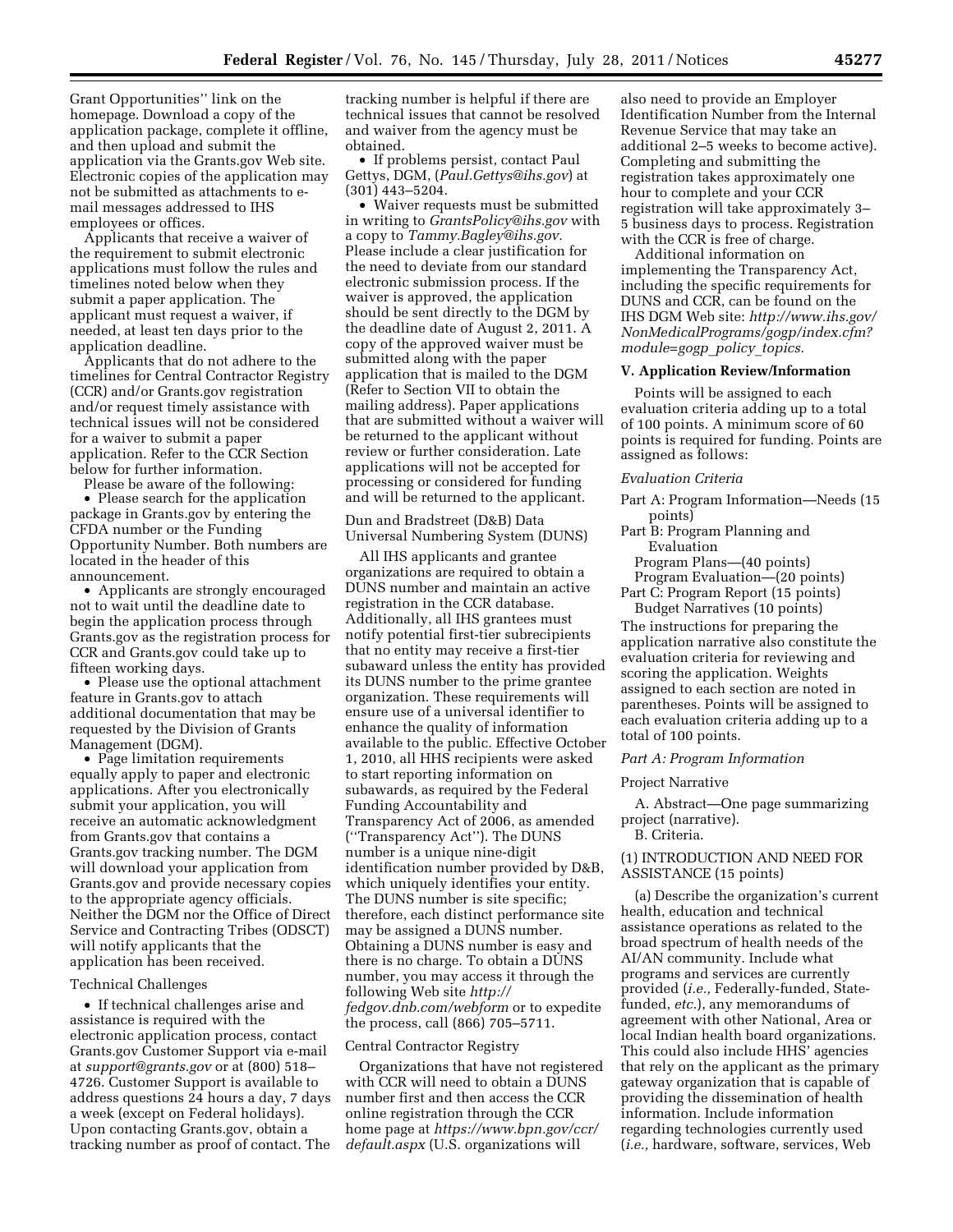Grant Opportunities'' link on the homepage. Download a copy of the application package, complete it offline, and then upload and submit the application via the Grants.gov Web site. Electronic copies of the application may not be submitted as attachments to email messages addressed to IHS employees or offices.

Applicants that receive a waiver of the requirement to submit electronic applications must follow the rules and timelines noted below when they submit a paper application. The applicant must request a waiver, if needed, at least ten days prior to the application deadline.

Applicants that do not adhere to the timelines for Central Contractor Registry (CCR) and/or Grants.gov registration and/or request timely assistance with technical issues will not be considered for a waiver to submit a paper application. Refer to the CCR Section below for further information.

Please be aware of the following:

• Please search for the application package in Grants.gov by entering the CFDA number or the Funding Opportunity Number. Both numbers are located in the header of this announcement.

• Applicants are strongly encouraged not to wait until the deadline date to begin the application process through Grants.gov as the registration process for CCR and Grants.gov could take up to fifteen working days.

• Please use the optional attachment feature in Grants.gov to attach additional documentation that may be requested by the Division of Grants Management (DGM).

• Page limitation requirements equally apply to paper and electronic applications. After you electronically submit your application, you will receive an automatic acknowledgment from Grants.gov that contains a Grants.gov tracking number. The DGM will download your application from Grants.gov and provide necessary copies to the appropriate agency officials. Neither the DGM nor the Office of Direct Service and Contracting Tribes (ODSCT) will notify applicants that the application has been received.

### Technical Challenges

• If technical challenges arise and assistance is required with the electronic application process, contact Grants.gov Customer Support via e-mail at *[support@grants.gov](mailto:support@grants.gov)* or at (800) 518– 4726. Customer Support is available to address questions 24 hours a day, 7 days a week (except on Federal holidays). Upon contacting Grants.gov, obtain a tracking number as proof of contact. The

tracking number is helpful if there are technical issues that cannot be resolved and waiver from the agency must be obtained.

• If problems persist, contact Paul Gettys, DGM, (*[Paul.Gettys@ihs.gov](mailto:Paul.Gettys@ihs.gov)*) at (301) 443–5204.

• Waiver requests must be submitted in writing to *[GrantsPolicy@ihs.gov](mailto:GrantsPolicy@ihs.gov)* with a copy to *[Tammy.Bagley@ihs.gov.](mailto:Tammy.Bagley@ihs.gov)*  Please include a clear justification for the need to deviate from our standard electronic submission process. If the waiver is approved, the application should be sent directly to the DGM by the deadline date of August 2, 2011. A copy of the approved waiver must be submitted along with the paper application that is mailed to the DGM (Refer to Section VII to obtain the mailing address). Paper applications that are submitted without a waiver will be returned to the applicant without review or further consideration. Late applications will not be accepted for processing or considered for funding and will be returned to the applicant.

Dun and Bradstreet (D&B) Data Universal Numbering System (DUNS)

All IHS applicants and grantee organizations are required to obtain a DUNS number and maintain an active registration in the CCR database. Additionally, all IHS grantees must notify potential first-tier subrecipients that no entity may receive a first-tier subaward unless the entity has provided its DUNS number to the prime grantee organization. These requirements will ensure use of a universal identifier to enhance the quality of information available to the public. Effective October 1, 2010, all HHS recipients were asked to start reporting information on subawards, as required by the Federal Funding Accountability and Transparency Act of 2006, as amended (''Transparency Act''). The DUNS number is a unique nine-digit identification number provided by D&B, which uniquely identifies your entity. The DUNS number is site specific; therefore, each distinct performance site may be assigned a DUNS number. Obtaining a DUNS number is easy and there is no charge. To obtain a DUNS number, you may access it through the following Web site *[http://](http://fedgov.dnb.com/webform) [fedgov.dnb.com/webform](http://fedgov.dnb.com/webform)* or to expedite the process, call (866) 705–5711.

#### Central Contractor Registry

Organizations that have not registered with CCR will need to obtain a DUNS number first and then access the CCR online registration through the CCR home page at *[https://www.bpn.gov/ccr/](https://www.bpn.gov/ccr/default.aspx)  [default.aspx](https://www.bpn.gov/ccr/default.aspx)* (U.S. organizations will

also need to provide an Employer Identification Number from the Internal Revenue Service that may take an additional 2–5 weeks to become active). Completing and submitting the registration takes approximately one hour to complete and your CCR registration will take approximately 3– 5 business days to process. Registration with the CCR is free of charge.

Additional information on implementing the Transparency Act, including the specific requirements for DUNS and CCR, can be found on the IHS DGM Web site: *[http://www.ihs.gov/](http://www.ihs.gov/NonMedicalPrograms/gogp/index.cfm?module=gogp_policy_topics) [NonMedicalPrograms/gogp/index.cfm?](http://www.ihs.gov/NonMedicalPrograms/gogp/index.cfm?module=gogp_policy_topics) [module=gogp](http://www.ihs.gov/NonMedicalPrograms/gogp/index.cfm?module=gogp_policy_topics)*\_*policy*\_*topics.* 

#### **V. Application Review/Information**

Points will be assigned to each evaluation criteria adding up to a total of 100 points. A minimum score of 60 points is required for funding. Points are assigned as follows:

#### *Evaluation Criteria*

Part A: Program Information—Needs (15 points)

Part B: Program Planning and Evaluation

Program Plans—(40 points)

- Program Evaluation—(20 points) Part C: Program Report (15 points)
- Budget Narratives (10 points)

The instructions for preparing the application narrative also constitute the evaluation criteria for reviewing and scoring the application. Weights assigned to each section are noted in parentheses. Points will be assigned to each evaluation criteria adding up to a total of 100 points.

#### *Part A: Program Information*

#### Project Narrative

A. Abstract—One page summarizing project (narrative).

# B. Criteria.

# (1) INTRODUCTION AND NEED FOR ASSISTANCE (15 points)

(a) Describe the organization's current health, education and technical assistance operations as related to the broad spectrum of health needs of the AI/AN community. Include what programs and services are currently provided (*i.e.,* Federally-funded, Statefunded, *etc.*), any memorandums of agreement with other National, Area or local Indian health board organizations. This could also include HHS' agencies that rely on the applicant as the primary gateway organization that is capable of providing the dissemination of health information. Include information regarding technologies currently used (*i.e.,* hardware, software, services, Web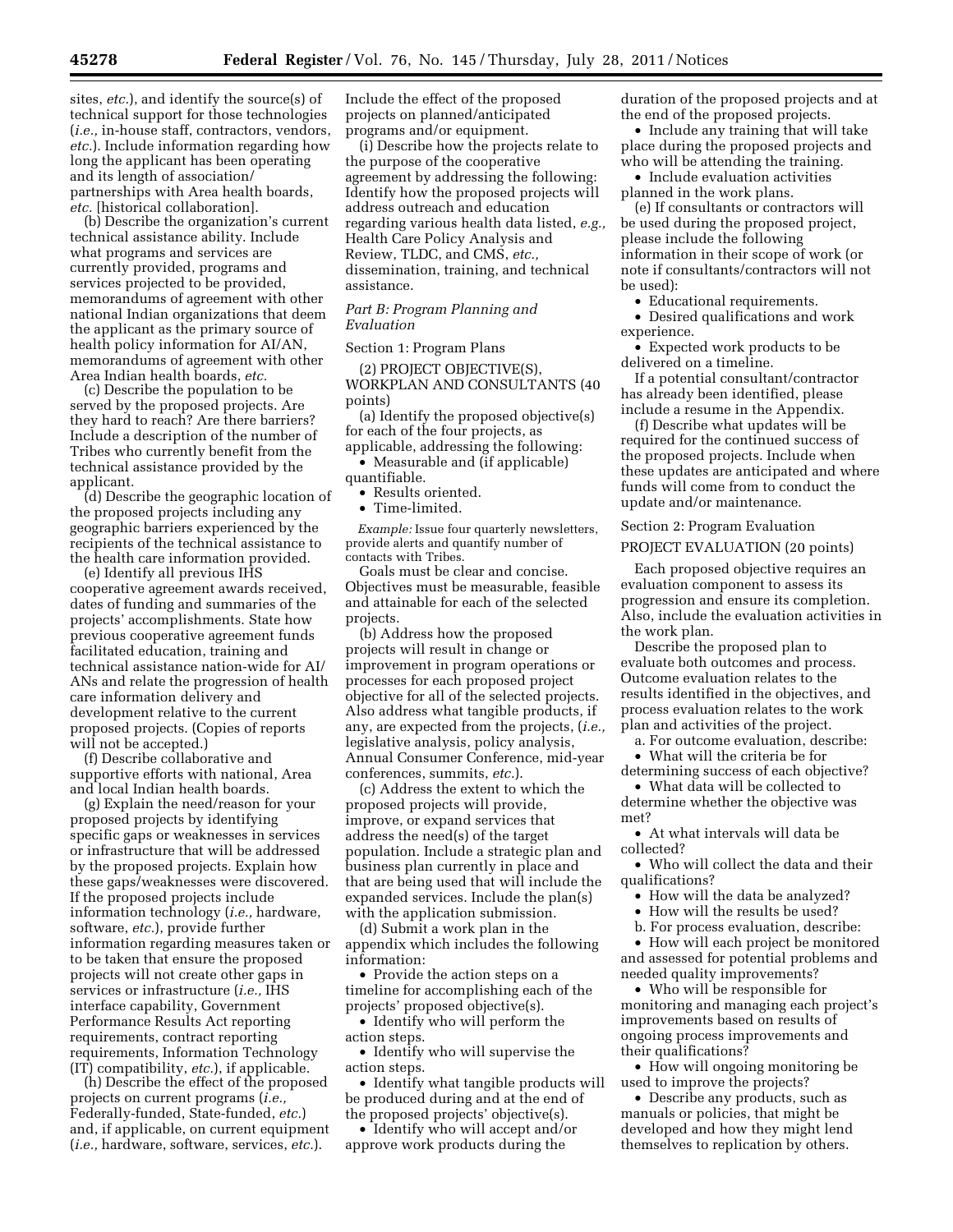sites, *etc.*), and identify the source(s) of technical support for those technologies (*i.e.,* in-house staff, contractors, vendors, *etc.*). Include information regarding how long the applicant has been operating and its length of association/ partnerships with Area health boards, *etc.* [historical collaboration].

(b) Describe the organization's current technical assistance ability. Include what programs and services are currently provided, programs and services projected to be provided, memorandums of agreement with other national Indian organizations that deem the applicant as the primary source of health policy information for AI/AN, memorandums of agreement with other Area Indian health boards, *etc.* 

(c) Describe the population to be served by the proposed projects. Are they hard to reach? Are there barriers? Include a description of the number of Tribes who currently benefit from the technical assistance provided by the applicant.

(d) Describe the geographic location of the proposed projects including any geographic barriers experienced by the recipients of the technical assistance to the health care information provided.

(e) Identify all previous IHS cooperative agreement awards received, dates of funding and summaries of the projects' accomplishments. State how previous cooperative agreement funds facilitated education, training and technical assistance nation-wide for AI/ ANs and relate the progression of health care information delivery and development relative to the current proposed projects. (Copies of reports will not be accepted.)

(f) Describe collaborative and supportive efforts with national, Area and local Indian health boards.

(g) Explain the need/reason for your proposed projects by identifying specific gaps or weaknesses in services or infrastructure that will be addressed by the proposed projects. Explain how these gaps/weaknesses were discovered. If the proposed projects include information technology (*i.e.,* hardware, software, *etc.*), provide further information regarding measures taken or to be taken that ensure the proposed projects will not create other gaps in services or infrastructure (*i.e.,* IHS interface capability, Government Performance Results Act reporting requirements, contract reporting requirements, Information Technology (IT) compatibility, *etc.*), if applicable.

(h) Describe the effect of the proposed projects on current programs (*i.e.,*  Federally-funded, State-funded, *etc.*) and, if applicable, on current equipment (*i.e.,* hardware, software, services, *etc.*).

Include the effect of the proposed projects on planned/anticipated programs and/or equipment.

(i) Describe how the projects relate to the purpose of the cooperative agreement by addressing the following: Identify how the proposed projects will address outreach and education regarding various health data listed, *e.g.,*  Health Care Policy Analysis and Review, TLDC, and CMS, *etc.,*  dissemination, training, and technical assistance.

### *Part B: Program Planning and Evaluation*

#### Section 1: Program Plans

(2) PROJECT OBJECTIVE(S), WORKPLAN AND CONSULTANTS (40 points)

(a) Identify the proposed objective(s) for each of the four projects, as

applicable, addressing the following: • Measurable and (if applicable)

quantifiable.

• Results oriented.

• Time-limited.

*Example:* Issue four quarterly newsletters, provide alerts and quantify number of contacts with Tribes.

Goals must be clear and concise. Objectives must be measurable, feasible and attainable for each of the selected projects.

(b) Address how the proposed projects will result in change or improvement in program operations or processes for each proposed project objective for all of the selected projects. Also address what tangible products, if any, are expected from the projects, (*i.e.,*  legislative analysis, policy analysis, Annual Consumer Conference, mid-year conferences, summits, *etc.*).

(c) Address the extent to which the proposed projects will provide, improve, or expand services that address the need(s) of the target population. Include a strategic plan and business plan currently in place and that are being used that will include the expanded services. Include the plan(s) with the application submission.

(d) Submit a work plan in the appendix which includes the following information:

• Provide the action steps on a timeline for accomplishing each of the projects' proposed objective(s).

• Identify who will perform the action steps.

• Identify who will supervise the action steps.

• Identify what tangible products will be produced during and at the end of the proposed projects' objective(s).

• Identify who will accept and/or approve work products during the

duration of the proposed projects and at the end of the proposed projects.

• Include any training that will take place during the proposed projects and who will be attending the training.

• Include evaluation activities planned in the work plans.

(e) If consultants or contractors will be used during the proposed project, please include the following information in their scope of work (or note if consultants/contractors will not be used):

• Educational requirements.

• Desired qualifications and work experience.

• Expected work products to be delivered on a timeline.

If a potential consultant/contractor has already been identified, please include a resume in the Appendix.

(f) Describe what updates will be required for the continued success of the proposed projects. Include when these updates are anticipated and where funds will come from to conduct the update and/or maintenance.

Section 2: Program Evaluation

PROJECT EVALUATION (20 points)

Each proposed objective requires an evaluation component to assess its progression and ensure its completion. Also, include the evaluation activities in the work plan.

Describe the proposed plan to evaluate both outcomes and process. Outcome evaluation relates to the results identified in the objectives, and process evaluation relates to the work plan and activities of the project.

a. For outcome evaluation, describe: • What will the criteria be for

determining success of each objective?

• What data will be collected to determine whether the objective was met?

• At what intervals will data be collected?

• Who will collect the data and their qualifications?

- How will the data be analyzed?
- How will the results be used?

b. For process evaluation, describe:

• How will each project be monitored and assessed for potential problems and needed quality improvements?

• Who will be responsible for monitoring and managing each project's improvements based on results of ongoing process improvements and their qualifications?

• How will ongoing monitoring be used to improve the projects?

• Describe any products, such as manuals or policies, that might be developed and how they might lend themselves to replication by others.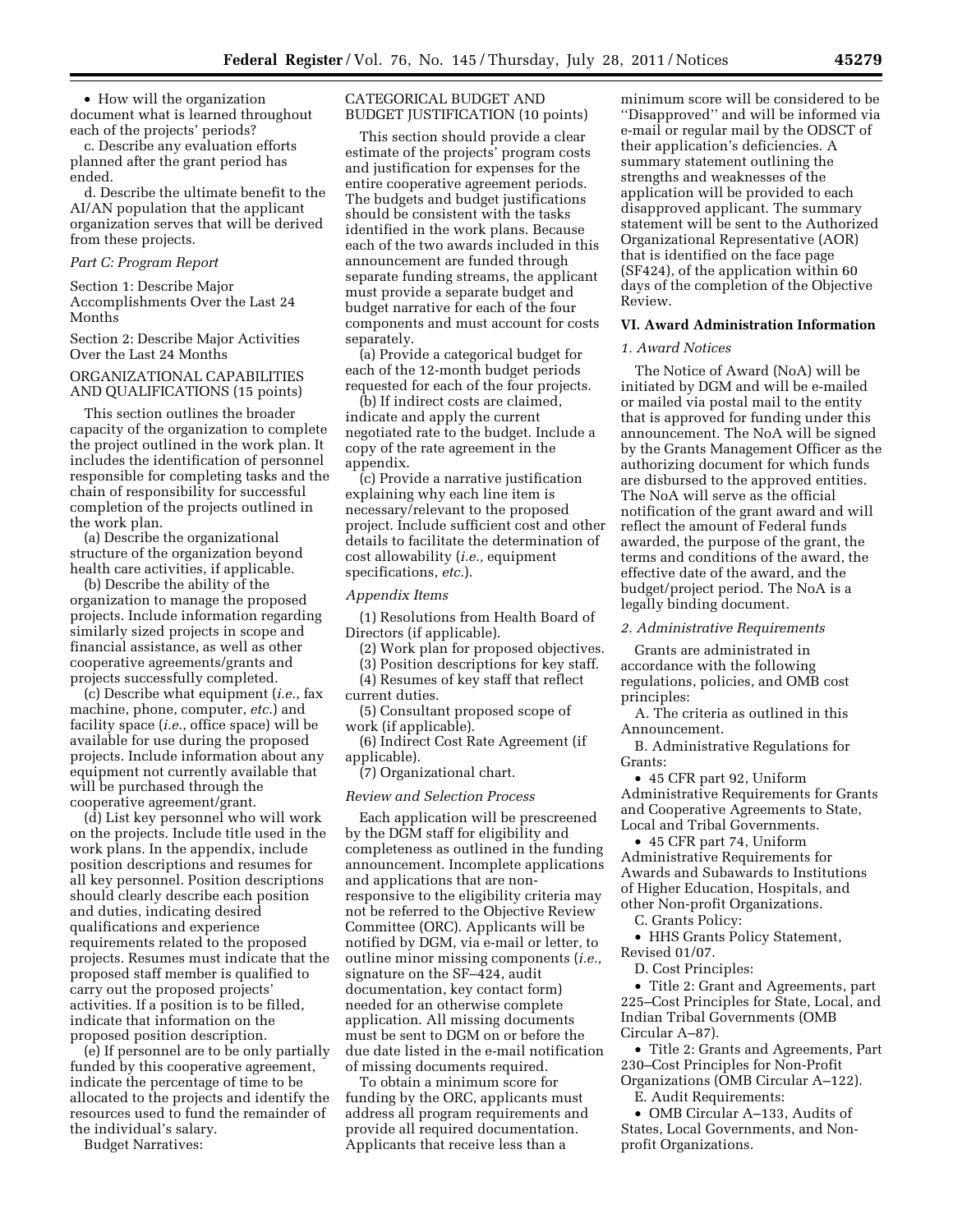• How will the organization document what is learned throughout each of the projects' periods?

c. Describe any evaluation efforts planned after the grant period has ended.

d. Describe the ultimate benefit to the AI/AN population that the applicant organization serves that will be derived from these projects.

### *Part C: Program Report*

Section 1: Describe Major Accomplishments Over the Last 24 Months

Section 2: Describe Major Activities Over the Last 24 Months

### ORGANIZATIONAL CAPABILITIES AND QUALIFICATIONS (15 points)

This section outlines the broader capacity of the organization to complete the project outlined in the work plan. It includes the identification of personnel responsible for completing tasks and the chain of responsibility for successful completion of the projects outlined in the work plan.

(a) Describe the organizational structure of the organization beyond health care activities, if applicable.

(b) Describe the ability of the organization to manage the proposed projects. Include information regarding similarly sized projects in scope and financial assistance, as well as other cooperative agreements/grants and projects successfully completed.

(c) Describe what equipment (*i.e.*, fax machine, phone, computer, *etc*.) and facility space (*i.e.*, office space) will be available for use during the proposed projects. Include information about any equipment not currently available that will be purchased through the cooperative agreement/grant.

(d) List key personnel who will work on the projects. Include title used in the work plans. In the appendix, include position descriptions and resumes for all key personnel. Position descriptions should clearly describe each position and duties, indicating desired qualifications and experience requirements related to the proposed projects. Resumes must indicate that the proposed staff member is qualified to carry out the proposed projects' activities. If a position is to be filled, indicate that information on the proposed position description.

(e) If personnel are to be only partially funded by this cooperative agreement, indicate the percentage of time to be allocated to the projects and identify the resources used to fund the remainder of the individual's salary.

Budget Narratives:

### CATEGORICAL BUDGET AND BUDGET JUSTIFICATION (10 points)

This section should provide a clear estimate of the projects' program costs and justification for expenses for the entire cooperative agreement periods. The budgets and budget justifications should be consistent with the tasks identified in the work plans. Because each of the two awards included in this announcement are funded through separate funding streams, the applicant must provide a separate budget and budget narrative for each of the four components and must account for costs separately.

(a) Provide a categorical budget for each of the 12-month budget periods requested for each of the four projects.

(b) If indirect costs are claimed, indicate and apply the current negotiated rate to the budget. Include a copy of the rate agreement in the appendix.

(c) Provide a narrative justification explaining why each line item is necessary/relevant to the proposed project. Include sufficient cost and other details to facilitate the determination of cost allowability (*i.e.,* equipment specifications, *etc.*).

### *Appendix Items*

(1) Resolutions from Health Board of Directors (if applicable).

(2) Work plan for proposed objectives. (3) Position descriptions for key staff.

(4) Resumes of key staff that reflect

current duties.

(5) Consultant proposed scope of work (if applicable).

(6) Indirect Cost Rate Agreement (if applicable).

(7) Organizational chart.

### *Review and Selection Process*

Each application will be prescreened by the DGM staff for eligibility and completeness as outlined in the funding announcement. Incomplete applications and applications that are nonresponsive to the eligibility criteria may not be referred to the Objective Review Committee (ORC). Applicants will be notified by DGM, via e-mail or letter, to outline minor missing components (*i.e.,*  signature on the SF–424, audit documentation, key contact form) needed for an otherwise complete application. All missing documents must be sent to DGM on or before the due date listed in the e-mail notification of missing documents required.

To obtain a minimum score for funding by the ORC, applicants must address all program requirements and provide all required documentation. Applicants that receive less than a

minimum score will be considered to be ''Disapproved'' and will be informed via e-mail or regular mail by the ODSCT of their application's deficiencies. A summary statement outlining the strengths and weaknesses of the application will be provided to each disapproved applicant. The summary statement will be sent to the Authorized Organizational Representative (AOR) that is identified on the face page (SF424), of the application within 60 days of the completion of the Objective Review.

### **VI. Award Administration Information**

### *1. Award Notices*

The Notice of Award (NoA) will be initiated by DGM and will be e-mailed or mailed via postal mail to the entity that is approved for funding under this announcement. The NoA will be signed by the Grants Management Officer as the authorizing document for which funds are disbursed to the approved entities. The NoA will serve as the official notification of the grant award and will reflect the amount of Federal funds awarded, the purpose of the grant, the terms and conditions of the award, the effective date of the award, and the budget/project period. The NoA is a legally binding document.

#### *2. Administrative Requirements*

Grants are administrated in accordance with the following regulations, policies, and OMB cost principles:

A. The criteria as outlined in this Announcement.

B. Administrative Regulations for Grants:

• 45 CFR part 92, Uniform Administrative Requirements for Grants and Cooperative Agreements to State, Local and Tribal Governments.

• 45 CFR part 74, Uniform Administrative Requirements for Awards and Subawards to Institutions of Higher Education, Hospitals, and other Non-profit Organizations.

C. Grants Policy:

• HHS Grants Policy Statement, Revised 01/07.

D. Cost Principles:

• Title 2: Grant and Agreements, part 225–Cost Principles for State, Local, and Indian Tribal Governments (OMB Circular A–87).

• Title 2: Grants and Agreements, Part 230–Cost Principles for Non-Profit Organizations (OMB Circular A–122). E. Audit Requirements:

• OMB Circular A–133, Audits of States, Local Governments, and Nonprofit Organizations.